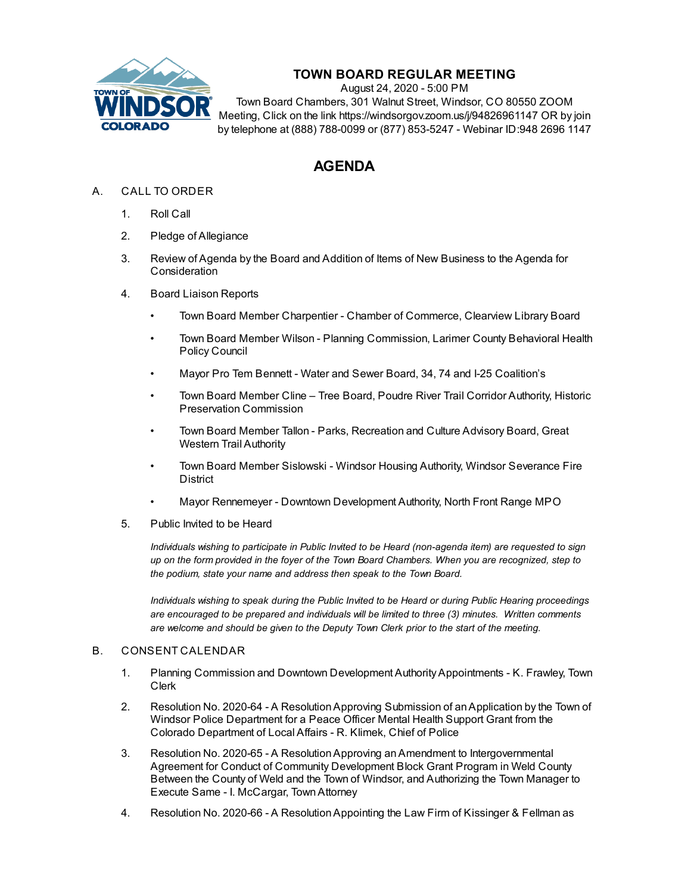

## **TOWN BOARD REGULAR MEETING**

August 24, 2020 - 5:00 PM Town Board Chambers, 301 Walnut Street, Windsor, CO 80550 ZOOM Meeting, Click on the link https://windsorgov.zoom.us/j/94826961147 OR by join by telephone at (888) 788-0099 or (877) 853-5247 - Webinar ID:948 2696 1147

## **AGENDA**

- A. CALL TO ORDER
	- 1. Roll Call
	- 2. Pledge of Allegiance
	- 3. Review of Agenda by the Board and Addition of Items of New Business to the Agenda for **Consideration**
	- 4. Board Liaison Reports
		- Town Board Member Charpentier Chamber of Commerce, Clearview Library Board
		- Town Board Member Wilson Planning Commission, Larimer County Behavioral Health Policy Council
		- Mayor Pro Tem Bennett Water and Sewer Board, 34, 74 and I-25 Coalition's
		- Town Board Member Cline Tree Board, Poudre River Trail Corridor Authority, Historic Preservation Commission
		- Town Board Member Tallon Parks, Recreation and Culture Advisory Board, Great Western Trail Authority
		- Town Board Member Sislowski Windsor Housing Authority, Windsor Severance Fire District
		- Mayor Rennemeyer Downtown Development Authority, North Front Range MPO
	- 5. Public Invited to be Heard

*Individuals wishing to participate in Public Invited to be Heard (non-agenda item) are requested to sign* up on the form provided in the foyer of the Town Board Chambers. When you are recognized, step to *the podium, state your name and address then speak to the Town Board.*

*Individuals wishing to speak during the Public Invited to be Heard or during Public Hearing proceedings are encouraged to be prepared and individuals will be limited to three (3) minutes. Written comments are welcome and should be given to the Deputy Town Clerk prior to the start of the meeting.*

## B. CONSENT CALENDAR

- 1. Planning Commission and Downtown Development [AuthorityAppointments](file:///C:/Windows/TEMP/CoverSheet.aspx?ItemID=1020&MeetingID=139) K. Frawley, Town Clerk
- 2. Resolution No. 2020-64 A [ResolutionApproving](file:///C:/Windows/TEMP/CoverSheet.aspx?ItemID=1014&MeetingID=139) Submission of anApplication by the Town of Windsor Police Department for a Peace Officer Mental Health Support Grant from the Colorado Department of Local Affairs - R. Klimek, Chief of Police
- 3. Resolution No. 2020-65 A [ResolutionApproving](file:///C:/Windows/TEMP/CoverSheet.aspx?ItemID=1017&MeetingID=139) anAmendment to Intergovernmental Agreement for Conduct of Community Development Block Grant Program in Weld County Between the County of Weld and the Town of Windsor, and Authorizing the Town Manager to Execute Same - I. McCargar, TownAttorney
- 4. Resolution No. 2020-66 A ResolutionAppointing the Law Firm of Kissinger & Fellman as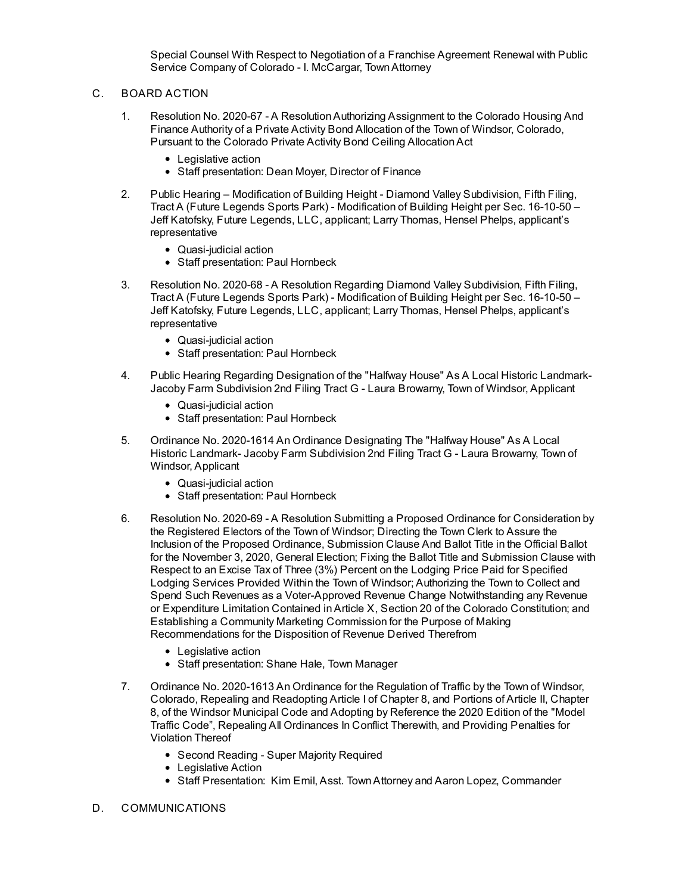Special Counsel With Respect to Negotiation of a Franchise Agreement Renewal with Public Service Company of Colorado - I. McCargar, [TownAttorney](file:///C:/Windows/TEMP/CoverSheet.aspx?ItemID=1022&MeetingID=139)

- C. BOARD ACTION
	- 1. Resolution No. 2020-67 A [ResolutionAuthorizing](file:///C:/Windows/TEMP/CoverSheet.aspx?ItemID=1018&MeetingID=139) Assignment to the Colorado Housing And Finance Authority of a Private Activity Bond Allocation of the Town of Windsor, Colorado, Pursuant to the Colorado Private Activity Bond Ceiling AllocationAct
		- Legislative action
		- Staff presentation: Dean Moyer, Director of Finance
	- 2. Public Hearing Modification of Building Height Diamond Valley Subdivision, Fifth Filing, Tract A (Future Legends Sports Park) - Modification of Building Height per Sec. 16-10-50 – Jeff Katofsky, Future Legends, LLC, applicant; Larry Thomas, Hensel Phelps, applicant's [representative](file:///C:/Windows/TEMP/CoverSheet.aspx?ItemID=1023&MeetingID=139)
		- Quasi-judicial action
		- Staff presentation: Paul Hornbeck
	- 3. Resolution No. 2020-68 A Resolution Regarding Diamond Valley Subdivision, Fifth Filing, Tract A (Future Legends Sports Park) - Modification of Building Height per Sec. 16-10-50 – Jeff Katofsky, Future Legends, LLC, applicant; Larry Thomas, Hensel Phelps, applicant's [representative](file:///C:/Windows/TEMP/CoverSheet.aspx?ItemID=1024&MeetingID=139)
		- Quasi-judicial action
		- Staff presentation: Paul Hornbeck
	- 4. Public Hearing Regarding [Designation](file:///C:/Windows/TEMP/CoverSheet.aspx?ItemID=1025&MeetingID=139) of the "Halfway House" As A Local Historic Landmark-Jacoby Farm Subdivision 2nd Filing Tract G - Laura Browarny, Town of Windsor, Applicant
		- Quasi-judicial action
		- Staff presentation: Paul Hornbeck
	- 5. Ordinance No. 2020-1614 An Ordinance [Designating](file:///C:/Windows/TEMP/CoverSheet.aspx?ItemID=1026&MeetingID=139) The "Halfway House" As A Local Historic Landmark- Jacoby Farm Subdivision 2nd Filing Tract G - Laura Browarny, Town of Windsor, Applicant
		- Quasi-judicial action
		- Staff presentation: Paul Hornbeck
	- 6. Resolution No. 2020-69 A Resolution Submitting a Proposed Ordinance for Consideration by the Registered Electors of the Town of Windsor; Directing the Town Clerk to Assure the Inclusion of the Proposed Ordinance, Submission Clause And Ballot Title in the Official Ballot for the November 3, 2020, General Election; Fixing the Ballot Title and Submission Clause with Respect to an Excise Tax of Three (3%) Percent on the Lodging Price Paid for Specified Lodging Services Provided Within the Town of Windsor; Authorizing the Town to Collect and Spend Such Revenues as a Voter-Approved Revenue Change Notwithstanding any Revenue or Expenditure Limitation Contained inArticle X, Section 20 of the Colorado Constitution; and Establishing a Community Marketing Commission for the Purpose of Making [Recommendations](file:///C:/Windows/TEMP/CoverSheet.aspx?ItemID=1016&MeetingID=139) for the Disposition of Revenue Derived Therefrom
		- Legislative action
		- Staff presentation: Shane Hale, Town Manager
	- 7. Ordinance No. 2020-1613 An Ordinance for the Regulation of Traffic by the Town of Windsor, Colorado, Repealing and [Readopting](file:///C:/Windows/TEMP/CoverSheet.aspx?ItemID=1015&MeetingID=139) Article I of Chapter 8, and Portions of Article II, Chapter 8, of the Windsor Municipal Code and Adopting by Reference the 2020 Edition of the "Model Traffic Code", Repealing All Ordinances In Conflict Therewith, and Providing Penalties for Violation Thereof
		- Second Reading Super Majority Required
		- Legislative Action
		- Staff Presentation: Kim Emil, Asst. Town Attorney and Aaron Lopez, Commander
- D. COMMUNICATIONS